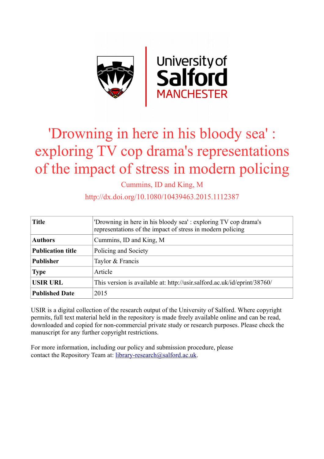

# 'Drowning in here in his bloody sea' : exploring TV cop drama's representations of the impact of stress in modern policing

Cummins, ID and King, M

http://dx.doi.org/10.1080/10439463.2015.1112387

| <b>Title</b>             | 'Drowning in here in his bloody sea': exploring TV cop drama's<br>representations of the impact of stress in modern policing |
|--------------------------|------------------------------------------------------------------------------------------------------------------------------|
| <b>Authors</b>           | Cummins, ID and King, M                                                                                                      |
| <b>Publication title</b> | Policing and Society                                                                                                         |
| <b>Publisher</b>         | Taylor & Francis                                                                                                             |
| <b>Type</b>              | Article                                                                                                                      |
| <b>USIR URL</b>          | This version is available at: http://usir.salford.ac.uk/id/eprint/38760/                                                     |
| <b>Published Date</b>    | 2015                                                                                                                         |

USIR is a digital collection of the research output of the University of Salford. Where copyright permits, full text material held in the repository is made freely available online and can be read, downloaded and copied for non-commercial private study or research purposes. Please check the manuscript for any further copyright restrictions.

For more information, including our policy and submission procedure, please contact the Repository Team at: [library-research@salford.ac.uk.](mailto:library-research@salford.ac.uk)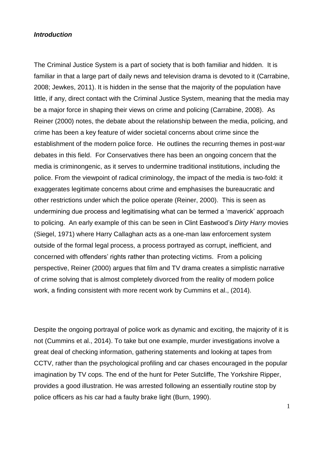# *Introduction*

The Criminal Justice System is a part of society that is both familiar and hidden. It is familiar in that a large part of daily news and television drama is devoted to it (Carrabine, 2008; Jewkes, 2011). It is hidden in the sense that the majority of the population have little, if any, direct contact with the Criminal Justice System, meaning that the media may be a major force in shaping their views on crime and policing (Carrabine, 2008). As Reiner (2000) notes, the debate about the relationship between the media, policing, and crime has been a key feature of wider societal concerns about crime since the establishment of the modern police force. He outlines the recurring themes in post-war debates in this field. For Conservatives there has been an ongoing concern that the media is criminongenic, as it serves to undermine traditional institutions, including the police. From the viewpoint of radical criminology, the impact of the media is two-fold: it exaggerates legitimate concerns about crime and emphasises the bureaucratic and other restrictions under which the police operate (Reiner, 2000). This is seen as undermining due process and legitimatising what can be termed a 'maverick' approach to policing. An early example of this can be seen in Clint Eastwood's *Dirty Harry* movies (Siegel, 1971) where Harry Callaghan acts as a one-man law enforcement system outside of the formal legal process, a process portrayed as corrupt, inefficient, and concerned with offenders' rights rather than protecting victims. From a policing perspective, Reiner (2000) argues that film and TV drama creates a simplistic narrative of crime solving that is almost completely divorced from the reality of modern police work, a finding consistent with more recent work by Cummins et al., (2014).

Despite the ongoing portrayal of police work as dynamic and exciting, the majority of it is not (Cummins et al., 2014). To take but one example, murder investigations involve a great deal of checking information, gathering statements and looking at tapes from CCTV, rather than the psychological profiling and car chases encouraged in the popular imagination by TV cops. The end of the hunt for Peter Sutcliffe, The Yorkshire Ripper, provides a good illustration. He was arrested following an essentially routine stop by police officers as his car had a faulty brake light (Burn, 1990).

1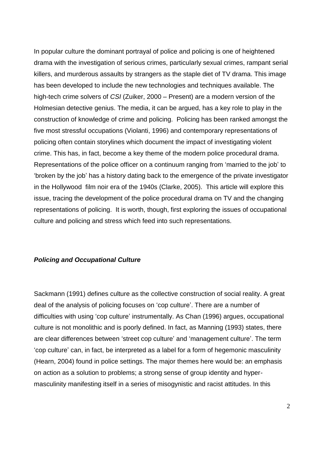In popular culture the dominant portrayal of police and policing is one of heightened drama with the investigation of serious crimes, particularly sexual crimes, rampant serial killers, and murderous assaults by strangers as the staple diet of TV drama. This image has been developed to include the new technologies and techniques available. The high-tech crime solvers of *CSI* (Zuiker, 2000 – Present) are a modern version of the Holmesian detective genius. The media, it can be argued, has a key role to play in the construction of knowledge of crime and policing. Policing has been ranked amongst the five most stressful occupations (Violanti, 1996) and contemporary representations of policing often contain storylines which document the impact of investigating violent crime. This has, in fact, become a key theme of the modern police procedural drama. Representations of the police officer on a continuum ranging from 'married to the job' to 'broken by the job' has a history dating back to the emergence of the private investigator in the Hollywood film noir era of the 1940s (Clarke, 2005). This article will explore this issue, tracing the development of the police procedural drama on TV and the changing representations of policing. It is worth, though, first exploring the issues of occupational culture and policing and stress which feed into such representations.

# *Policing and Occupational Culture*

Sackmann (1991) defines culture as the collective construction of social reality. A great deal of the analysis of policing focuses on 'cop culture'. There are a number of difficulties with using 'cop culture' instrumentally. As Chan (1996) argues, occupational culture is not monolithic and is poorly defined. In fact, as Manning (1993) states, there are clear differences between 'street cop culture' and 'management culture'. The term 'cop culture' can, in fact, be interpreted as a label for a form of hegemonic masculinity (Hearn, 2004) found in police settings. The major themes here would be: an emphasis on action as a solution to problems; a strong sense of group identity and hypermasculinity manifesting itself in a series of misogynistic and racist attitudes. In this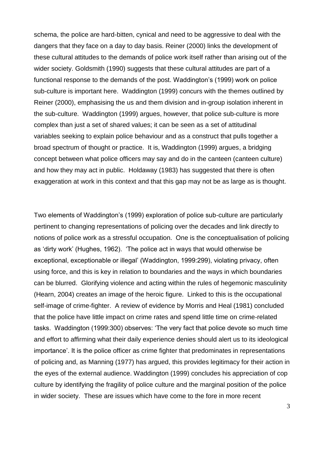schema, the police are hard-bitten, cynical and need to be aggressive to deal with the dangers that they face on a day to day basis. Reiner (2000) links the development of these cultural attitudes to the demands of police work itself rather than arising out of the wider society. Goldsmith (1990) suggests that these cultural attitudes are part of a functional response to the demands of the post. Waddington's (1999) work on police sub-culture is important here. Waddington (1999) concurs with the themes outlined by Reiner (2000), emphasising the us and them division and in-group isolation inherent in the sub-culture. Waddington (1999) argues, however, that police sub-culture is more complex than just a set of shared values; it can be seen as a set of attitudinal variables seeking to explain police behaviour and as a construct that pulls together a broad spectrum of thought or practice. It is, Waddington (1999) argues, a bridging concept between what police officers may say and do in the canteen (canteen culture) and how they may act in public. Holdaway (1983) has suggested that there is often exaggeration at work in this context and that this gap may not be as large as is thought.

Two elements of Waddington's (1999) exploration of police sub-culture are particularly pertinent to changing representations of policing over the decades and link directly to notions of police work as a stressful occupation. One is the conceptualisation of policing as 'dirty work' (Hughes, 1962). 'The police act in ways that would otherwise be exceptional, exceptionable or illegal' (Waddington, 1999:299), violating privacy, often using force, and this is key in relation to boundaries and the ways in which boundaries can be blurred. Glorifying violence and acting within the rules of hegemonic masculinity (Hearn, 2004) creates an image of the heroic figure. Linked to this is the occupational self-image of crime-fighter. A review of evidence by Morris and Heal (1981) concluded that the police have little impact on crime rates and spend little time on crime-related tasks. Waddington (1999:300) observes: 'The very fact that police devote so much time and effort to affirming what their daily experience denies should alert us to its ideological importance'. It is the police officer as crime fighter that predominates in representations of policing and, as Manning (1977) has argued, this provides legitimacy for their action in the eyes of the external audience. Waddington (1999) concludes his appreciation of cop culture by identifying the fragility of police culture and the marginal position of the police in wider society. These are issues which have come to the fore in more recent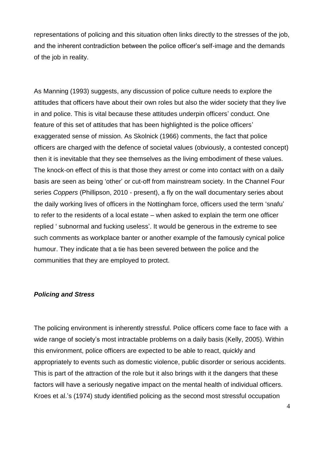representations of policing and this situation often links directly to the stresses of the job, and the inherent contradiction between the police officer's self-image and the demands of the job in reality.

As Manning (1993) suggests, any discussion of police culture needs to explore the attitudes that officers have about their own roles but also the wider society that they live in and police. This is vital because these attitudes underpin officers' conduct. One feature of this set of attitudes that has been highlighted is the police officers' exaggerated sense of mission. As Skolnick (1966) comments, the fact that police officers are charged with the defence of societal values (obviously, a contested concept) then it is inevitable that they see themselves as the living embodiment of these values. The knock-on effect of this is that those they arrest or come into contact with on a daily basis are seen as being 'other' or cut-off from mainstream society. In the Channel Four series *Coppers* (Phillipson, 2010 - present), a fly on the wall documentary series about the daily working lives of officers in the Nottingham force, officers used the term 'snafu' to refer to the residents of a local estate – when asked to explain the term one officer replied ' subnormal and fucking useless'. It would be generous in the extreme to see such comments as workplace banter or another example of the famously cynical police humour. They indicate that a tie has been severed between the police and the communities that they are employed to protect.

### *Policing and Stress*

The policing environment is inherently stressful. Police officers come face to face with a wide range of society's most intractable problems on a daily basis (Kelly, 2005). Within this environment, police officers are expected to be able to react, quickly and appropriately to events such as domestic violence, public disorder or serious accidents. This is part of the attraction of the role but it also brings with it the dangers that these factors will have a seriously negative impact on the mental health of individual officers. Kroes et al.'s (1974) study identified policing as the second most stressful occupation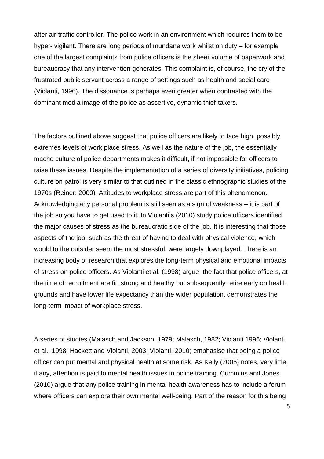after air-traffic controller. The police work in an environment which requires them to be hyper- vigilant. There are long periods of mundane work whilst on duty – for example one of the largest complaints from police officers is the sheer volume of paperwork and bureaucracy that any intervention generates. This complaint is, of course, the cry of the frustrated public servant across a range of settings such as health and social care (Violanti, 1996). The dissonance is perhaps even greater when contrasted with the dominant media image of the police as assertive, dynamic thief-takers.

The factors outlined above suggest that police officers are likely to face high, possibly extremes levels of work place stress. As well as the nature of the job, the essentially macho culture of police departments makes it difficult, if not impossible for officers to raise these issues. Despite the implementation of a series of diversity initiatives, policing culture on patrol is very similar to that outlined in the classic ethnographic studies of the 1970s (Reiner, 2000). Attitudes to workplace stress are part of this phenomenon. Acknowledging any personal problem is still seen as a sign of weakness – it is part of the job so you have to get used to it. In Violanti's (2010) study police officers identified the major causes of stress as the bureaucratic side of the job. It is interesting that those aspects of the job, such as the threat of having to deal with physical violence, which would to the outsider seem the most stressful, were largely downplayed. There is an increasing body of research that explores the long-term physical and emotional impacts of stress on police officers. As Violanti et al. (1998) argue, the fact that police officers, at the time of recruitment are fit, strong and healthy but subsequently retire early on health grounds and have lower life expectancy than the wider population, demonstrates the long-term impact of workplace stress.

A series of studies (Malasch and Jackson, 1979; Malasch, 1982; Violanti 1996; Violanti et al., 1998; Hackett and Violanti, 2003; Violanti, 2010) emphasise that being a police officer can put mental and physical health at some risk. As Kelly (2005) notes, very little, if any, attention is paid to mental health issues in police training. Cummins and Jones (2010) argue that any police training in mental health awareness has to include a forum where officers can explore their own mental well-being. Part of the reason for this being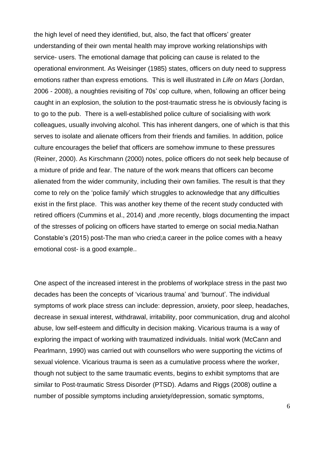the high level of need they identified, but, also, the fact that officers' greater understanding of their own mental health may improve working relationships with service- users. The emotional damage that policing can cause is related to the operational environment. As Weisinger (1985) states, officers on duty need to suppress emotions rather than express emotions. This is well illustrated in *Life on Mars* (Jordan, 2006 - 2008), a noughties revisiting of 70s' cop culture, when, following an officer being caught in an explosion, the solution to the post-traumatic stress he is obviously facing is to go to the pub. There is a well-established police culture of socialising with work colleagues, usually involving alcohol. This has inherent dangers, one of which is that this serves to isolate and alienate officers from their friends and families. In addition, police culture encourages the belief that officers are somehow immune to these pressures (Reiner, 2000). As Kirschmann (2000) notes, police officers do not seek help because of a mixture of pride and fear. The nature of the work means that officers can become alienated from the wider community, including their own families. The result is that they come to rely on the 'police family' which struggles to acknowledge that any difficulties exist in the first place. This was another key theme of the recent study conducted with retired officers (Cummins et al., 2014) and ,more recently, blogs documenting the impact of the stresses of policing on officers have started to emerge on social media.Nathan Constable's (2015) post-The man who cried;a career in the police comes with a heavy emotional cost- is a good example..

One aspect of the increased interest in the problems of workplace stress in the past two decades has been the concepts of 'vicarious trauma' and 'burnout'. The individual symptoms of work place stress can include: depression, anxiety, poor sleep, headaches, decrease in sexual interest, withdrawal, irritability, poor communication, drug and alcohol abuse, low self-esteem and difficulty in decision making. Vicarious trauma is a way of exploring the impact of working with traumatized individuals. Initial work (McCann and Pearlmann, 1990) was carried out with counsellors who were supporting the victims of sexual violence. Vicarious trauma is seen as a cumulative process where the worker, though not subject to the same traumatic events, begins to exhibit symptoms that are similar to Post-traumatic Stress Disorder (PTSD). Adams and Riggs (2008) outline a number of possible symptoms including anxiety/depression, somatic symptoms,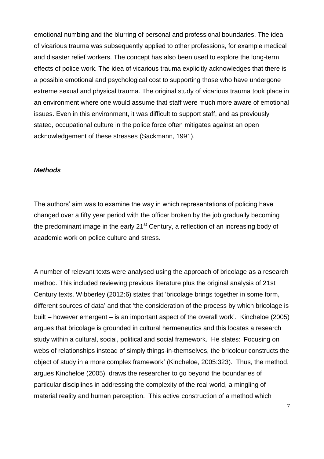emotional numbing and the blurring of personal and professional boundaries. The idea of vicarious trauma was subsequently applied to other professions, for example medical and disaster relief workers. The concept has also been used to explore the long-term effects of police work. The idea of vicarious trauma explicitly acknowledges that there is a possible emotional and psychological cost to supporting those who have undergone extreme sexual and physical trauma. The original study of vicarious trauma took place in an environment where one would assume that staff were much more aware of emotional issues. Even in this environment, it was difficult to support staff, and as previously stated, occupational culture in the police force often mitigates against an open acknowledgement of these stresses (Sackmann, 1991).

### *Methods*

The authors' aim was to examine the way in which representations of policing have changed over a fifty year period with the officer broken by the job gradually becoming the predominant image in the early  $21<sup>st</sup>$  Century, a reflection of an increasing body of academic work on police culture and stress.

A number of relevant texts were analysed using the approach of bricolage as a research method. This included reviewing previous literature plus the original analysis of 21st Century texts. Wibberley (2012:6) states that 'bricolage brings together in some form, different sources of data' and that 'the consideration of the process by which bricolage is built – however emergent – is an important aspect of the overall work'. Kincheloe (2005) argues that bricolage is grounded in cultural hermeneutics and this locates a research study within a cultural, social, political and social framework. He states: 'Focusing on webs of relationships instead of simply things-in-themselves, the bricoleur constructs the object of study in a more complex framework' (Kincheloe, 2005:323). Thus, the method, argues Kincheloe (2005), draws the researcher to go beyond the boundaries of particular disciplines in addressing the complexity of the real world, a mingling of material reality and human perception. This active construction of a method which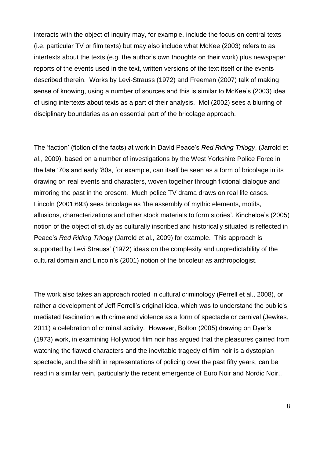interacts with the object of inquiry may, for example, include the focus on central texts (i.e. particular TV or film texts) but may also include what McKee (2003) refers to as intertexts about the texts (e.g. the author's own thoughts on their work) plus newspaper reports of the events used in the text, written versions of the text itself or the events described therein. Works by Levi-Strauss (1972) and Freeman (2007) talk of making sense of knowing, using a number of sources and this is similar to McKee's (2003) idea of using intertexts about texts as a part of their analysis. Mol (2002) sees a blurring of disciplinary boundaries as an essential part of the bricolage approach.

The 'faction' (fiction of the facts) at work in David Peace's *Red Riding Trilogy*, (Jarrold et al., 2009), based on a number of investigations by the West Yorkshire Police Force in the late '70s and early '80s, for example, can itself be seen as a form of bricolage in its drawing on real events and characters, woven together through fictional dialogue and mirroring the past in the present. Much police TV drama draws on real life cases. Lincoln (2001:693) sees bricolage as 'the assembly of mythic elements, motifs, allusions, characterizations and other stock materials to form stories'. Kincheloe's (2005) notion of the object of study as culturally inscribed and historically situated is reflected in Peace's *Red Riding Trilogy* (Jarrold et al., 2009) for example. This approach is supported by Levi Strauss' (1972) ideas on the complexity and unpredictability of the cultural domain and Lincoln's (2001) notion of the bricoleur as anthropologist.

The work also takes an approach rooted in cultural criminology (Ferrell et al., 2008), or rather a development of Jeff Ferrell's original idea, which was to understand the public's mediated fascination with crime and violence as a form of spectacle or carnival (Jewkes, 2011) a celebration of criminal activity. However, Bolton (2005) drawing on Dyer's (1973) work, in examining Hollywood film noir has argued that the pleasures gained from watching the flawed characters and the inevitable tragedy of film noir is a dystopian spectacle, and the shift in representations of policing over the past fifty years, can be read in a similar vein, particularly the recent emergence of Euro Noir and Nordic Noir,.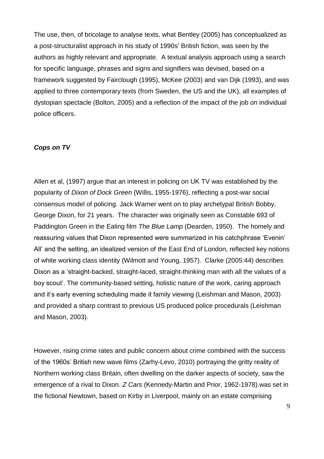The use, then, of bricolage to analyse texts, what Bentley (2005) has conceptualized as a post-structuralist approach in his study of 1990s' British fiction, was seen by the authors as highly relevant and appropriate. A textual analysis approach using a search for specific language, phrases and signs and signifiers was devised, based on a framework suggested by Fairclough (1995), McKee (2003) and van Dijk (1993), and was applied to three contemporary texts (from Sweden, the US and the UK), all examples of dystopian spectacle (Bolton, 2005) and a reflection of the impact of the job on individual police officers.

# *Cops on TV*

Allen et al, (1997) argue that an interest in policing on UK TV was established by the popularity of *Dixon of Dock Green* (Willis, 1955-1976), reflecting a post-war social consensus model of policing. Jack Warner went on to play archetypal British Bobby, George Dixon, for 21 years. The character was originally seen as Constable 693 of Paddington Green in the Ealing film *The Blue Lamp* (Dearden, 1950). The homely and reassuring values that Dixon represented were summarized in his catchphrase 'Evenin' All' and the setting, an idealized version of the East End of London, reflected key notions of white working class identity (Wilmott and Young, 1957). Clarke (2005:44) describes Dixon as a 'straight-backed, straight-laced, straight-thinking man with all the values of a boy scout'. The community-based setting, holistic nature of the work, caring approach and it's early evening scheduling made it family viewing (Leishman and Mason, 2003) and provided a sharp contrast to previous US produced police procedurals (Leishman and Mason, 2003).

However, rising crime rates and public concern about crime combined with the success of the 1960s' British new wave films (Zarhy-Levo, 2010) portraying the gritty reality of Northern working class Britain, often dwelling on the darker aspects of society, saw the emergence of a rival to Dixon. *Z Cars* (Kennedy-Martin and Prior, 1962-1978).was set in the fictional Newtown, based on Kirby in Liverpool, mainly on an estate comprising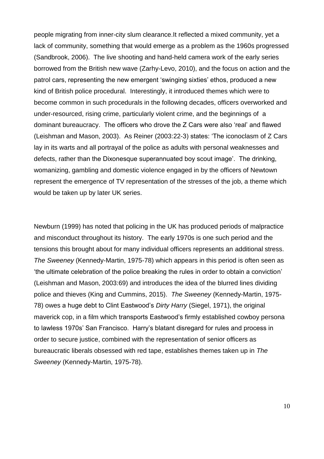people migrating from inner-city slum clearance.It reflected a mixed community, yet a lack of community, something that would emerge as a problem as the 1960s progressed (Sandbrook, 2006). The live shooting and hand-held camera work of the early series borrowed from the British new wave (Zarhy-Levo, 2010), and the focus on action and the patrol cars, representing the new emergent 'swinging sixties' ethos, produced a new kind of British police procedural. Interestingly, it introduced themes which were to become common in such procedurals in the following decades, officers overworked and under-resourced, rising crime, particularly violent crime, and the beginnings of a dominant bureaucracy. The officers who drove the Z Cars were also 'real' and flawed (Leishman and Mason, 2003). As Reiner (2003:22-3) states: 'The iconoclasm of Z Cars lay in its warts and all portrayal of the police as adults with personal weaknesses and defects, rather than the Dixonesque superannuated boy scout image'. The drinking, womanizing, gambling and domestic violence engaged in by the officers of Newtown represent the emergence of TV representation of the stresses of the job, a theme which would be taken up by later UK series.

Newburn (1999) has noted that policing in the UK has produced periods of malpractice and misconduct throughout its history. The early 1970s is one such period and the tensions this brought about for many individual officers represents an additional stress. *The Sweeney* (Kennedy-Martin, 1975-78) which appears in this period is often seen as 'the ultimate celebration of the police breaking the rules in order to obtain a conviction' (Leishman and Mason, 2003:69) and introduces the idea of the blurred lines dividing police and thieves (King and Cummins, 2015). *The Sweeney* (Kennedy-Martin, 1975- 78) owes a huge debt to Clint Eastwood's *Dirty Harry* (Siegel, 1971), the original maverick cop, in a film which transports Eastwood's firmly established cowboy persona to lawless 1970s' San Francisco. Harry's blatant disregard for rules and process in order to secure justice, combined with the representation of senior officers as bureaucratic liberals obsessed with red tape, establishes themes taken up in *The Sweeney* (Kennedy-Martin, 1975-78).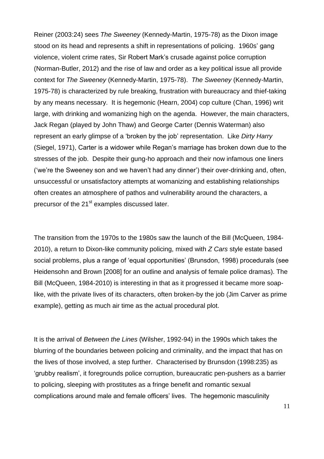Reiner (2003:24) sees *The Sweeney* (Kennedy-Martin, 1975-78) as the Dixon image stood on its head and represents a shift in representations of policing. 1960s' gang violence, violent crime rates, Sir Robert Mark's crusade against police corruption (Norman-Butler, 2012) and the rise of law and order as a key political issue all provide context for *The Sweeney* (Kennedy-Martin, 1975-78). *The Sweeney* (Kennedy-Martin, 1975-78) is characterized by rule breaking, frustration with bureaucracy and thief-taking by any means necessary. It is hegemonic (Hearn, 2004) cop culture (Chan, 1996) writ large, with drinking and womanizing high on the agenda. However, the main characters, Jack Regan (played by John Thaw) and George Carter (Dennis Waterman) also represent an early glimpse of a 'broken by the job' representation. Like *Dirty Harry* (Siegel, 1971), Carter is a widower while Regan's marriage has broken down due to the stresses of the job. Despite their gung-ho approach and their now infamous one liners ('we're the Sweeney son and we haven't had any dinner') their over-drinking and, often, unsuccessful or unsatisfactory attempts at womanizing and establishing relationships often creates an atmosphere of pathos and vulnerability around the characters, a precursor of the 21<sup>st</sup> examples discussed later.

The transition from the 1970s to the 1980s saw the launch of the Bill (McQueen, 1984- 2010), a return to Dixon-like community policing, mixed with *Z Cars* style estate based social problems, plus a range of 'equal opportunities' (Brunsdon, 1998) procedurals (see Heidensohn and Brown [2008] for an outline and analysis of female police dramas). The Bill (McQueen, 1984-2010) is interesting in that as it progressed it became more soaplike, with the private lives of its characters, often broken-by the job (Jim Carver as prime example), getting as much air time as the actual procedural plot.

It is the arrival of *Between the Lines* (Wilsher, 1992-94) in the 1990s which takes the blurring of the boundaries between policing and criminality, and the impact that has on the lives of those involved, a step further. Characterised by Brunsdon (1998:235) as 'grubby realism', it foregrounds police corruption, bureaucratic pen-pushers as a barrier to policing, sleeping with prostitutes as a fringe benefit and romantic sexual complications around male and female officers' lives. The hegemonic masculinity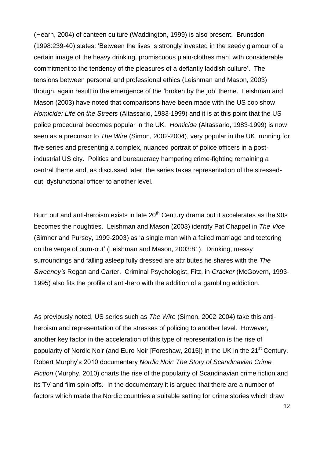(Hearn, 2004) of canteen culture (Waddington, 1999) is also present. Brunsdon (1998:239-40) states: 'Between the lives is strongly invested in the seedy glamour of a certain image of the heavy drinking, promiscuous plain-clothes man, with considerable commitment to the tendency of the pleasures of a defiantly laddish culture'. The tensions between personal and professional ethics (Leishman and Mason, 2003) though, again result in the emergence of the 'broken by the job' theme. Leishman and Mason (2003) have noted that comparisons have been made with the US cop show *Homicide: Life on the Streets* (Altassario, 1983-1999) and it is at this point that the US police procedural becomes popular in the UK. *Homicide* (Altassario, 1983-1999) is now seen as a precursor to *The Wire* (Simon, 2002-2004), very popular in the UK, running for five series and presenting a complex, nuanced portrait of police officers in a postindustrial US city. Politics and bureaucracy hampering crime-fighting remaining a central theme and, as discussed later, the series takes representation of the stressedout, dysfunctional officer to another level.

Burn out and anti-heroism exists in late  $20<sup>th</sup>$  Century drama but it accelerates as the 90s becomes the noughties. Leishman and Mason (2003) identify Pat Chappel in *The Vice* (Simner and Pursey, 1999-2003) as 'a single man with a failed marriage and teetering on the verge of burn-out' (Leishman and Mason, 2003:81). Drinking, messy surroundings and falling asleep fully dressed are attributes he shares with the *The Sweeney's* Regan and Carter. Criminal Psychologist, Fitz, in *Cracker* (McGovern, 1993- 1995) also fits the profile of anti-hero with the addition of a gambling addiction.

As previously noted, US series such as *The Wire* (Simon, 2002-2004) take this antiheroism and representation of the stresses of policing to another level. However, another key factor in the acceleration of this type of representation is the rise of popularity of Nordic Noir (and Euro Noir [Foreshaw, 2015]) in the UK in the 21<sup>st</sup> Century. Robert Murphy's 2010 documentary *Nordic Noir: The Story of Scandinavian Crime Fiction* (Murphy, 2010) charts the rise of the popularity of Scandinavian crime fiction and its TV and film spin-offs. In the documentary it is argued that there are a number of factors which made the Nordic countries a suitable setting for crime stories which draw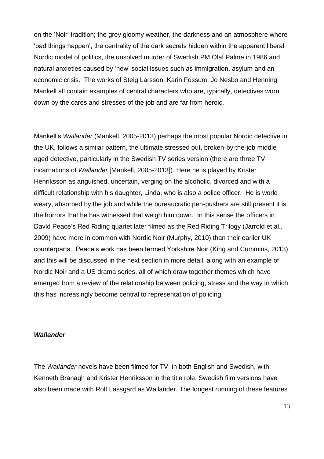on the 'Noir' tradition; the grey gloomy weather, the darkness and an atmosphere where 'bad things happen', the centrality of the dark secrets hidden within the apparent liberal Nordic model of politics, the unsolved murder of Swedish PM Olaf Palme in 1986 and natural anxieties caused by 'new' social issues such as immigration, asylum and an economic crisis. The works of Steig Larsson, Karin Fossum, Jo Nesbo and Henning Mankell all contain examples of central characters who are, typically, detectives worn down by the cares and stresses of the job and are far from heroic.

Mankell's *Wallander* (Mankell, 2005-2013) perhaps the most popular Nordic detective in the UK, follows a similar pattern, the ultimate stressed out, broken-by-the-job middle aged detective, particularly in the Swedish TV series version (there are three TV incarnations of *Wallander* [Mankell, 2005-2013]). Here he is played by Krister Henriksson as anguished, uncertain, verging on the alcoholic, divorced and with a difficult relationship with his daughter, Linda, who is also a police officer. He is world weary, absorbed by the job and while the bureaucratic pen-pushers are still present it is the horrors that he has witnessed that weigh him down. In this sense the officers in David Peace's Red Riding quartet later filmed as the Red Riding Trilogy (Jarrold et al., 2009) have more in common with Nordic Noir (Murphy, 2010) than their earlier UK counterparts. Peace's work has been termed Yorkshire Noir (King and Cummins, 2013) and this will be discussed in the next section in more detail, along with an example of Nordic Noir and a US drama series, all of which draw together themes which have emerged from a review of the relationship between policing, stress and the way in which this has increasingly become central to representation of policing.

### *Wallander*

The *Wallander* novels have been filmed for TV ,in both English and Swedish, with Kenneth Branagh and Krister Henriksson in the title role. Swedish film versions have also been made with Rolf Lässgard as Wallander. The longest running of these features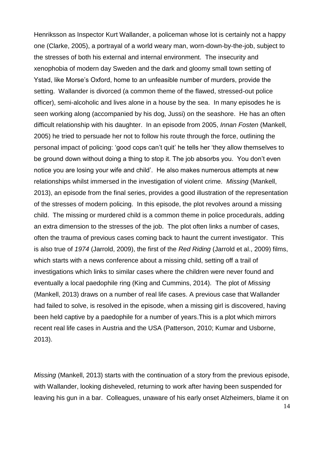Henriksson as Inspector Kurt Wallander, a policeman whose lot is certainly not a happy one (Clarke, 2005), a portrayal of a world weary man, worn-down-by-the-job, subject to the stresses of both his external and internal environment. The insecurity and xenophobia of modern day Sweden and the dark and gloomy small town setting of Ystad, like Morse's Oxford, home to an unfeasible number of murders, provide the setting. Wallander is divorced (a common theme of the flawed, stressed-out police officer), semi-alcoholic and lives alone in a house by the sea. In many episodes he is seen working along (accompanied by his dog, Jussi) on the seashore. He has an often difficult relationship with his daughter. In an episode from 2005, *Innan Fosten* (Mankell, 2005) he tried to persuade her not to follow his route through the force, outlining the personal impact of policing: 'good cops can't quit' he tells her 'they allow themselves to be ground down without doing a thing to stop it. The job absorbs you. You don't even notice you are losing your wife and child'. He also makes numerous attempts at new relationships whilst immersed in the investigation of violent crime. *Missing* (Mankell, 2013), an episode from the final series, provides a good illustration of the representation of the stresses of modern policing. In this episode, the plot revolves around a missing child. The missing or murdered child is a common theme in police procedurals, adding an extra dimension to the stresses of the job. The plot often links a number of cases, often the trauma of previous cases coming back to haunt the current investigator. This is also true of *1974* (Jarrold, 2009), the first of the *Red Riding* (Jarrold et al., 2009) films, which starts with a news conference about a missing child, setting off a trail of investigations which links to similar cases where the children were never found and eventually a local paedophile ring (King and Cummins, 2014). The plot of *Missing* (Mankell, 2013) draws on a number of real life cases. A previous case that Wallander had failed to solve, is resolved in the episode, when a missing girl is discovered, having been held captive by a paedophile for a number of years.This is a plot which mirrors recent real life cases in Austria and the USA (Patterson, 2010; Kumar and Usborne, 2013).

*Missing* (Mankell, 2013) starts with the continuation of a story from the previous episode, with Wallander, looking disheveled, returning to work after having been suspended for leaving his gun in a bar. Colleagues, unaware of his early onset Alzheimers, blame it on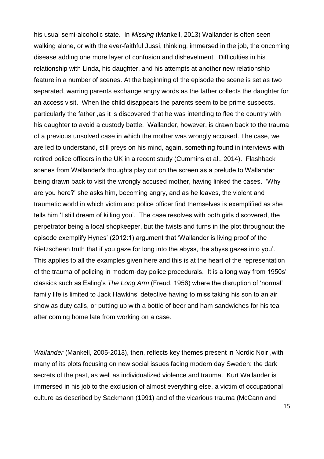his usual semi-alcoholic state. In *Missing* (Mankell, 2013) Wallander is often seen walking alone, or with the ever-faithful Jussi, thinking, immersed in the job, the oncoming disease adding one more layer of confusion and dishevelment. Difficulties in his relationship with Linda, his daughter, and his attempts at another new relationship feature in a number of scenes. At the beginning of the episode the scene is set as two separated, warring parents exchange angry words as the father collects the daughter for an access visit. When the child disappears the parents seem to be prime suspects, particularly the father ,as it is discovered that he was intending to flee the country with his daughter to avoid a custody battle. Wallander, however, is drawn back to the trauma of a previous unsolved case in which the mother was wrongly accused. The case, we are led to understand, still preys on his mind, again, something found in interviews with retired police officers in the UK in a recent study (Cummins et al., 2014). Flashback scenes from Wallander's thoughts play out on the screen as a prelude to Wallander being drawn back to visit the wrongly accused mother, having linked the cases. 'Why are you here?' she asks him, becoming angry, and as he leaves, the violent and traumatic world in which victim and police officer find themselves is exemplified as she tells him 'I still dream of killing you'. The case resolves with both girls discovered, the perpetrator being a local shopkeeper, but the twists and turns in the plot throughout the episode exemplify Hynes' (2012:1) argument that 'Wallander is living proof of the Nietzschean truth that if you gaze for long into the abyss, the abyss gazes into you'. This applies to all the examples given here and this is at the heart of the representation of the trauma of policing in modern-day police procedurals. It is a long way from 1950s' classics such as Ealing's *The Long Arm* (Freud, 1956) where the disruption of 'normal' family life is limited to Jack Hawkins' detective having to miss taking his son to an air show as duty calls, or putting up with a bottle of beer and ham sandwiches for his tea after coming home late from working on a case.

*Wallander* (Mankell, 2005-2013), then, reflects key themes present in Nordic Noir ,with many of its plots focusing on new social issues facing modern day Sweden; the dark secrets of the past, as well as individualized violence and trauma. Kurt Wallander is immersed in his job to the exclusion of almost everything else, a victim of occupational culture as described by Sackmann (1991) and of the vicarious trauma (McCann and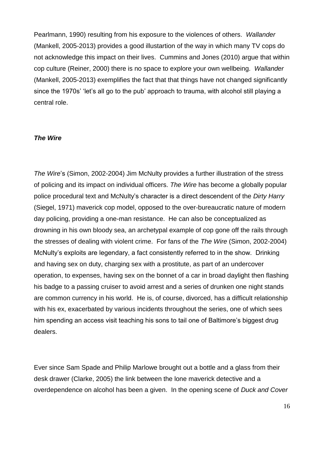Pearlmann, 1990) resulting from his exposure to the violences of others. *Wallander* (Mankell, 2005-2013) provides a good illustartion of the way in which many TV cops do not acknowledge this impact on their lives. Cummins and Jones (2010) argue that within cop culture (Reiner, 2000) there is no space to explore your own wellbeing. *Wallander* (Mankell, 2005-2013) exemplifies the fact that that things have not changed significantly since the 1970s' 'let's all go to the pub' approach to trauma, with alcohol still playing a central role.

#### *The Wire*

*The Wire*'s (Simon, 2002-2004) Jim McNulty provides a further illustration of the stress of policing and its impact on individual officers. *The Wire* has become a globally popular police procedural text and McNulty's character is a direct descendent of the *Dirty Harry* (Siegel, 1971) maverick cop model, opposed to the over-bureaucratic nature of modern day policing, providing a one-man resistance. He can also be conceptualized as drowning in his own bloody sea, an archetypal example of cop gone off the rails through the stresses of dealing with violent crime. For fans of the *The Wire* (Simon, 2002-2004) McNulty's exploits are legendary, a fact consistently referred to in the show. Drinking and having sex on duty, charging sex with a prostitute, as part of an undercover operation, to expenses, having sex on the bonnet of a car in broad daylight then flashing his badge to a passing cruiser to avoid arrest and a series of drunken one night stands are common currency in his world. He is, of course, divorced, has a difficult relationship with his ex, exacerbated by various incidents throughout the series, one of which sees him spending an access visit teaching his sons to tail one of Baltimore's biggest drug dealers.

Ever since Sam Spade and Philip Marlowe brought out a bottle and a glass from their desk drawer (Clarke, 2005) the link between the lone maverick detective and a overdependence on alcohol has been a given. In the opening scene of *Duck and Cover*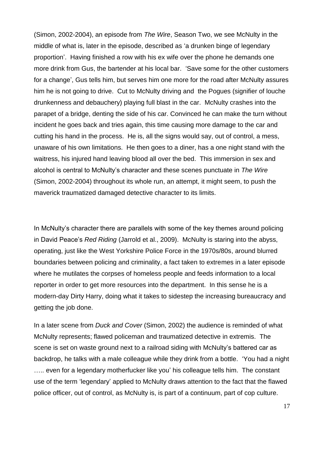(Simon, 2002-2004), an episode from *The Wire*, Season Two, we see McNulty in the middle of what is, later in the episode, described as 'a drunken binge of legendary proportion'. Having finished a row with his ex wife over the phone he demands one more drink from Gus, the bartender at his local bar. 'Save some for the other customers for a change', Gus tells him, but serves him one more for the road after McNulty assures him he is not going to drive. Cut to McNulty driving and the Pogues (signifier of louche drunkenness and debauchery) playing full blast in the car. McNulty crashes into the parapet of a bridge, denting the side of his car. Convinced he can make the turn without incident he goes back and tries again, this time causing more damage to the car and cutting his hand in the process. He is, all the signs would say, out of control, a mess, unaware of his own limitations. He then goes to a diner, has a one night stand with the waitress, his injured hand leaving blood all over the bed. This immersion in sex and alcohol is central to McNulty's character and these scenes punctuate in *The Wire* (Simon, 2002-2004) throughout its whole run, an attempt, it might seem, to push the maverick traumatized damaged detective character to its limits.

In McNulty's character there are parallels with some of the key themes around policing in David Peace's *Red Riding* (Jarrold et al., 2009). McNulty is staring into the abyss, operating, just like the West Yorkshire Police Force in the 1970s/80s, around blurred boundaries between policing and criminality, a fact taken to extremes in a later episode where he mutilates the corpses of homeless people and feeds information to a local reporter in order to get more resources into the department. In this sense he is a modern-day Dirty Harry, doing what it takes to sidestep the increasing bureaucracy and getting the job done.

In a later scene from *Duck and Cover* (Simon, 2002) the audience is reminded of what McNulty represents; flawed policeman and traumatized detective in extremis. The scene is set on waste ground next to a railroad siding with McNulty's battered car as backdrop, he talks with a male colleague while they drink from a bottle. 'You had a night ..... even for a legendary motherfucker like you' his colleague tells him. The constant use of the term 'legendary' applied to McNulty draws attention to the fact that the flawed police officer, out of control, as McNulty is, is part of a continuum, part of cop culture.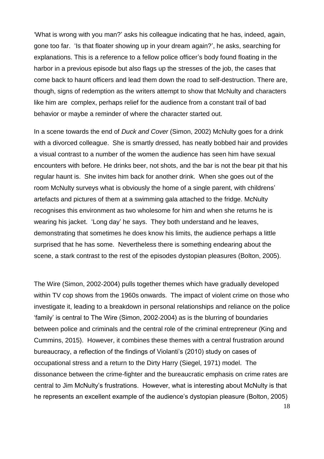'What is wrong with you man?' asks his colleague indicating that he has, indeed, again, gone too far. 'Is that floater showing up in your dream again?', he asks, searching for explanations. This is a reference to a fellow police officer's body found floating in the harbor in a previous episode but also flags up the stresses of the job, the cases that come back to haunt officers and lead them down the road to self-destruction. There are, though, signs of redemption as the writers attempt to show that McNulty and characters like him are complex, perhaps relief for the audience from a constant trail of bad behavior or maybe a reminder of where the character started out.

In a scene towards the end of *Duck and Cover* (Simon, 2002) McNulty goes for a drink with a divorced colleague. She is smartly dressed, has neatly bobbed hair and provides a visual contrast to a number of the women the audience has seen him have sexual encounters with before. He drinks beer, not shots, and the bar is not the bear pit that his regular haunt is. She invites him back for another drink. When she goes out of the room McNulty surveys what is obviously the home of a single parent, with childrens' artefacts and pictures of them at a swimming gala attached to the fridge. McNulty recognises this environment as two wholesome for him and when she returns he is wearing his jacket. 'Long day' he says. They both understand and he leaves, demonstrating that sometimes he does know his limits, the audience perhaps a little surprised that he has some. Nevertheless there is something endearing about the scene, a stark contrast to the rest of the episodes dystopian pleasures (Bolton, 2005).

The Wire (Simon, 2002-2004) pulls together themes which have gradually developed within TV cop shows from the 1960s onwards. The impact of violent crime on those who investigate it, leading to a breakdown in personal relationships and reliance on the police 'family' is central to The Wire (Simon, 2002-2004) as is the blurring of boundaries between police and criminals and the central role of the criminal entrepreneur (King and Cummins, 2015). However, it combines these themes with a central frustration around bureaucracy, a reflection of the findings of Violanti's (2010) study on cases of occupational stress and a return to the Dirty Harry (Siegel, 1971) model. The dissonance between the crime-fighter and the bureaucratic emphasis on crime rates are central to Jim McNulty's frustrations. However, what is interesting about McNulty is that he represents an excellent example of the audience's dystopian pleasure (Bolton, 2005)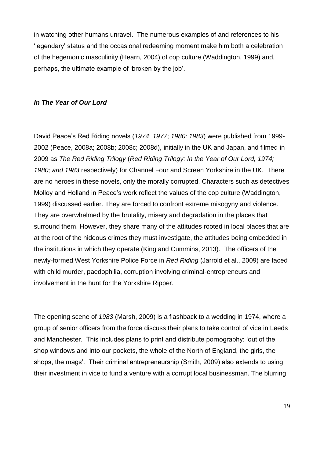in watching other humans unravel. The numerous examples of and references to his 'legendary' status and the occasional redeeming moment make him both a celebration of the hegemonic masculinity (Hearn, 2004) of cop culture (Waddington, 1999) and, perhaps, the ultimate example of 'broken by the job'.

### *In The Year of Our Lord*

David Peace's Red Riding novels (*1974*; *1977*; *1980; 1983*) were published from 1999- 2002 (Peace, 2008a; 2008b; 2008c; 2008d), initially in the UK and Japan, and filmed in 2009 as *The Red Riding Trilogy* (*Red Riding Trilogy: In the Year of Our Lord, 1974; 1980; and 1983* respectively) for Channel Four and Screen Yorkshire in the UK. There are no heroes in these novels, only the morally corrupted. Characters such as detectives Molloy and Holland in Peace's work reflect the values of the cop culture (Waddington, 1999) discussed earlier. They are forced to confront extreme misogyny and violence. They are overwhelmed by the brutality, misery and degradation in the places that surround them. However, they share many of the attitudes rooted in local places that are at the root of the hideous crimes they must investigate, the attitudes being embedded in the institutions in which they operate (King and Cummins, 2013). The officers of the newly-formed West Yorkshire Police Force in *Red Riding* (Jarrold et al., 2009) are faced with child murder, paedophilia, corruption involving criminal-entrepreneurs and involvement in the hunt for the Yorkshire Ripper.

The opening scene of *1983* (Marsh, 2009) is a flashback to a wedding in 1974, where a group of senior officers from the force discuss their plans to take control of vice in Leeds and Manchester. This includes plans to print and distribute pornography: 'out of the shop windows and into our pockets, the whole of the North of England, the girls, the shops, the mags'. Their criminal entrepreneurship (Smith, 2009) also extends to using their investment in vice to fund a venture with a corrupt local businessman. The blurring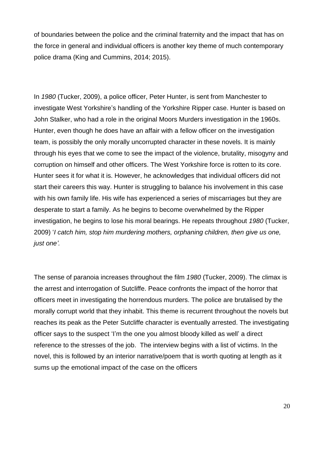of boundaries between the police and the criminal fraternity and the impact that has on the force in general and individual officers is another key theme of much contemporary police drama (King and Cummins, 2014; 2015).

In *1980* (Tucker, 2009), a police officer, Peter Hunter, is sent from Manchester to investigate West Yorkshire's handling of the Yorkshire Ripper case. Hunter is based on John Stalker, who had a role in the original Moors Murders investigation in the 1960s. Hunter, even though he does have an affair with a fellow officer on the investigation team, is possibly the only morally uncorrupted character in these novels. It is mainly through his eyes that we come to see the impact of the violence, brutality, misogyny and corruption on himself and other officers. The West Yorkshire force is rotten to its core. Hunter sees it for what it is. However, he acknowledges that individual officers did not start their careers this way. Hunter is struggling to balance his involvement in this case with his own family life. His wife has experienced a series of miscarriages but they are desperate to start a family. As he begins to become overwhelmed by the Ripper investigation, he begins to lose his moral bearings. He repeats throughout *1980* (Tucker, 2009) '*I catch him, stop him murdering mothers, orphaning children, then give us one, just one'.*

The sense of paranoia increases throughout the film *1980* (Tucker, 2009). The climax is the arrest and interrogation of Sutcliffe. Peace confronts the impact of the horror that officers meet in investigating the horrendous murders. The police are brutalised by the morally corrupt world that they inhabit. This theme is recurrent throughout the novels but reaches its peak as the Peter Sutcliffe character is eventually arrested. The investigating officer says to the suspect 'I'm the one you almost bloody killed as well' a direct reference to the stresses of the job. The interview begins with a list of victims. In the novel, this is followed by an interior narrative/poem that is worth quoting at length as it sums up the emotional impact of the case on the officers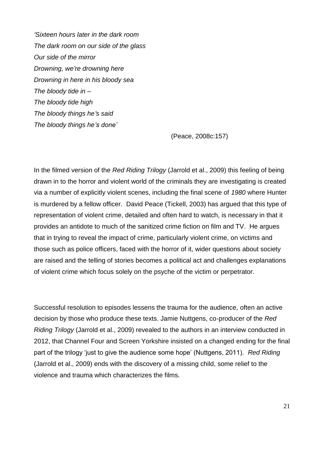*'Sixteen hours later in the dark room The dark room on our side of the glass Our side of the mirror Drowning, we're drowning here Drowning in here in his bloody sea The bloody tide in – The bloody tide high The bloody things he's said The bloody things he's done'*

(Peace, 2008c:157)

In the filmed version of the *Red Riding Trilogy* (Jarrold et al., 2009) this feeling of being drawn in to the horror and violent world of the criminals they are investigating is created via a number of explicitly violent scenes, including the final scene of *1980* where Hunter is murdered by a fellow officer. David Peace (Tickell, 2003) has argued that this type of representation of violent crime, detailed and often hard to watch, is necessary in that it provides an antidote to much of the sanitized crime fiction on film and TV. He argues that in trying to reveal the impact of crime, particularly violent crime, on victims and those such as police officers, faced with the horror of it, wider questions about society are raised and the telling of stories becomes a political act and challenges explanations of violent crime which focus solely on the psyche of the victim or perpetrator.

Successful resolution to episodes lessens the trauma for the audience, often an active decision by those who produce these texts. Jamie Nuttgens, co-producer of the *Red Riding Trilogy* (Jarrold et al., 2009) revealed to the authors in an interview conducted in 2012, that Channel Four and Screen Yorkshire insisted on a changed ending for the final part of the trilogy 'just to give the audience some hope' (Nuttgens, 2011). *Red Riding* (Jarrold et al., 2009) ends with the discovery of a missing child, some relief to the violence and trauma which characterizes the films.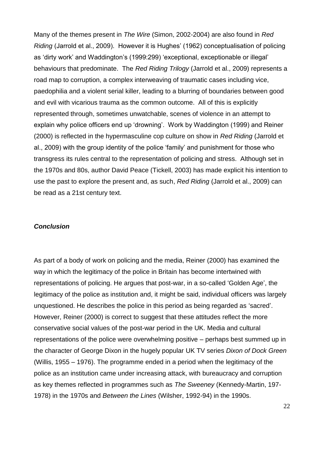Many of the themes present in *The Wire* (Simon, 2002-2004) are also found in *Red Riding* (Jarrold et al., 2009). However it is Hughes' (1962) conceptualisation of policing as 'dirty work' and Waddington's (1999:299) 'exceptional, exceptionable or illegal' behaviours that predominate. The *Red Riding Trilogy* (Jarrold et al., 2009) represents a road map to corruption, a complex interweaving of traumatic cases including vice, paedophilia and a violent serial killer, leading to a blurring of boundaries between good and evil with vicarious trauma as the common outcome. All of this is explicitly represented through, sometimes unwatchable, scenes of violence in an attempt to explain why police officers end up 'drowning'. Work by Waddington (1999) and Reiner (2000) is reflected in the hypermasculine cop culture on show in *Red Riding* (Jarrold et al., 2009) with the group identity of the police 'family' and punishment for those who transgress its rules central to the representation of policing and stress. Although set in the 1970s and 80s, author David Peace (Tickell, 2003) has made explicit his intention to use the past to explore the present and, as such, *Red Riding* (Jarrold et al., 2009) can be read as a 21st century text.

#### *Conclusion*

As part of a body of work on policing and the media, Reiner (2000) has examined the way in which the legitimacy of the police in Britain has become intertwined with representations of policing. He argues that post-war, in a so-called 'Golden Age', the legitimacy of the police as institution and, it might be said, individual officers was largely unquestioned. He describes the police in this period as being regarded as 'sacred'. However, Reiner (2000) is correct to suggest that these attitudes reflect the more conservative social values of the post-war period in the UK. Media and cultural representations of the police were overwhelming positive – perhaps best summed up in the character of George Dixon in the hugely popular UK TV series *Dixon of Dock Green* (Willis, 1955 – 1976). The programme ended in a period when the legitimacy of the police as an institution came under increasing attack, with bureaucracy and corruption as key themes reflected in programmes such as *The Sweeney* (Kennedy-Martin, 197- 1978) in the 1970s and *Between the Lines* (Wilsher, 1992-94) in the 1990s.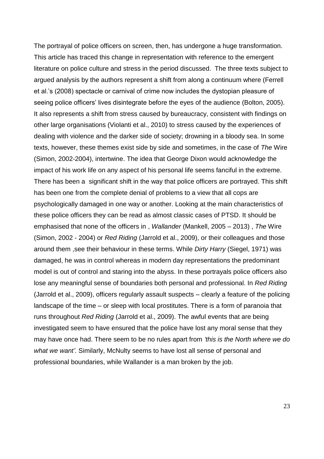The portrayal of police officers on screen, then, has undergone a huge transformation. This article has traced this change in representation with reference to the emergent literature on police culture and stress in the period discussed. The three texts subject to argued analysis by the authors represent a shift from along a continuum where (Ferrell et al.'s (2008) spectacle or carnival of crime now includes the dystopian pleasure of seeing police officers' lives disintegrate before the eyes of the audience (Bolton, 2005). It also represents a shift from stress caused by bureaucracy, consistent with findings on other large organisations (Violanti et al., 2010) to stress caused by the experiences of dealing with violence and the darker side of society; drowning in a bloody sea. In some texts, however, these themes exist side by side and sometimes, in the case of *The* Wire (Simon, 2002-2004), intertwine. The idea that George Dixon would acknowledge the impact of his work life on any aspect of his personal life seems fanciful in the extreme. There has been a significant shift in the way that police officers are portrayed. This shift has been one from the complete denial of problems to a view that all cops are psychologically damaged in one way or another. Looking at the main characteristics of these police officers they can be read as almost classic cases of PTSD. It should be emphasised that none of the officers in , *Wallander* (Mankell, 2005 – 2013) , *The* Wire (Simon, 2002 - 2004) or *Red Riding* (Jarrold et al., 2009), or their colleagues and those around them ,see their behaviour in these terms. While *Dirty Harry* (Siegel, 1971) was damaged, he was in control whereas in modern day representations the predominant model is out of control and staring into the abyss. In these portrayals police officers also lose any meaningful sense of boundaries both personal and professional. In *Red Riding* (Jarrold et al., 2009), officers regularly assault suspects – clearly a feature of the policing landscape of the time – or sleep with local prostitutes. There is a form of paranoia that runs throughout *Red Riding* (Jarrold et al., 2009). The awful events that are being investigated seem to have ensured that the police have lost any moral sense that they may have once had. There seem to be no rules apart from *'this is the North where we do what we want'.* Similarly, McNulty seems to have lost all sense of personal and professional boundaries, while Wallander is a man broken by the job.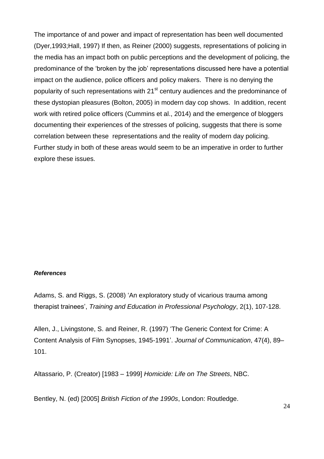The importance of and power and impact of representation has been well documented (Dyer,1993;Hall, 1997) If then, as Reiner (2000) suggests, representations of policing in the media has an impact both on public perceptions and the development of policing, the predominance of the 'broken by the job' representations discussed here have a potential impact on the audience, police officers and policy makers. There is no denying the popularity of such representations with 21<sup>st</sup> century audiences and the predominance of these dystopian pleasures (Bolton, 2005) in modern day cop shows. In addition, recent work with retired police officers (Cummins et al., 2014) and the emergence of bloggers documenting their experiences of the stresses of policing, suggests that there is some correlation between these representations and the reality of modern day policing. Further study in both of these areas would seem to be an imperative in order to further explore these issues.

### *References*

Adams, S. and Riggs, S. (2008) 'An exploratory study of vicarious trauma among therapist trainees', *Training and Education in Professional Psychology*, 2(1), 107-128.

Allen, J., Livingstone, S. and Reiner, R. (1997) 'The Generic Context for Crime: A Content Analysis of Film Synopses, 1945-1991'. *Journal of Communication*, 47(4), 89– 101.

Altassario, P. (Creator) [1983 – 1999] *Homicide: Life on The Streets*, NBC.

Bentley, N. (ed) [2005] *British Fiction of the 1990s*, London: Routledge.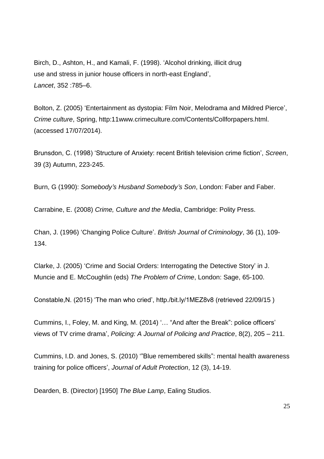Birch, D., Ashton, H., and Kamali, F. (1998). 'Alcohol drinking, illicit drug use and stress in junior house officers in north-east England', *Lancet*, 352 :785–6.

Bolton, Z. (2005) 'Entertainment as dystopia: Film Noir, Melodrama and Mildred Pierce', *Crime culture*, Spring, http:11www.crimeculture.com/Contents/Collforpapers.html. (accessed 17/07/2014).

Brunsdon, C. (1998) 'Structure of Anxiety: recent British television crime fiction', *Screen*, 39 (3) Autumn, 223-245.

Burn, G (1990): *Somebody's Husband Somebody's Son*, London: Faber and Faber.

Carrabine, E. (2008) *Crime, Culture and the Media*, Cambridge: Polity Press.

Chan, J. (1996) 'Changing Police Culture'. *British Journal of Criminology*, 36 (1), 109- 134.

Clarke, J. (2005) 'Crime and Social Orders: Interrogating the Detective Story' in J. Muncie and E. McCoughlin (eds) *The Problem of Crime*, London: Sage, 65-100.

Constable,N. (2015) 'The man who cried', http./bit.ly/1MEZ8v8 (retrieved 22/09/15 )

Cummins, I., Foley, M. and King, M. (2014) '… "And after the Break": police officers' views of TV crime drama', *Policing: A Journal of Policing and Practice*, 8(2), 205 – 211.

Cummins, I.D. and Jones, S. (2010) '"Blue remembered skills": mental health awareness training for police officers', *Journal of Adult Protection*, 12 (3), 14-19.

Dearden, B. (Director) [1950] *The Blue Lamp*, Ealing Studios.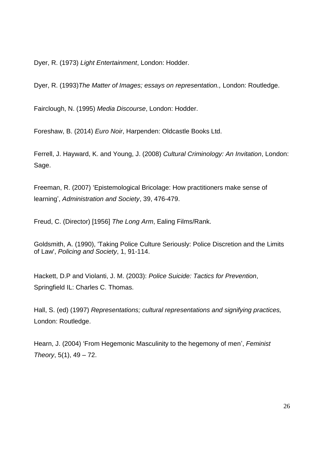Dyer, R. (1973) *Light Entertainment*, London: Hodder.

Dyer, R. (1993)*The Matter of Images; essays on representation.,* London: Routledge.

Fairclough, N. (1995) *Media Discourse*, London: Hodder.

Foreshaw, B. (2014) *Euro Noir*, Harpenden: Oldcastle Books Ltd.

Ferrell, J. Hayward, K. and Young, J. (2008) *Cultural Criminology: An Invitation*, London: Sage.

Freeman, R. (2007) 'Epistemological Bricolage: How practitioners make sense of learning', *Administration and Society*, 39, 476-479.

Freud, C. (Director) [1956] *The Long Arm*, Ealing Films/Rank.

Goldsmith, A. (1990), 'Taking Police Culture Seriously: Police Discretion and the Limits of Law', *Policing and Society*, 1, 91-114.

Hackett, D.P and Violanti, J. M. (2003): *Police Suicide: Tactics for Prevention*, Springfield IL: Charles C. Thomas.

Hall, S. (ed) (1997) *Representations; cultural representations and signifying practices,* London: Routledge.

Hearn, J. (2004) 'From Hegemonic Masculinity to the hegemony of men', *Feminist Theory*, 5(1), 49 – 72.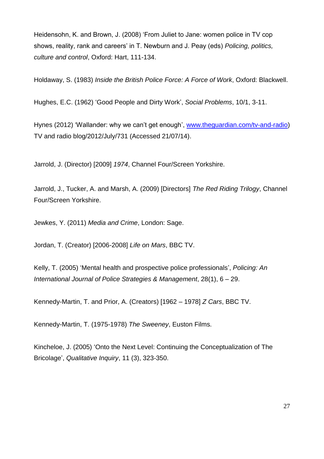Heidensohn, K. and Brown, J. (2008) 'From Juliet to Jane: women police in TV cop shows, reality, rank and careers' in T. Newburn and J. Peay (eds) *Policing, politics, culture and control*, Oxford: Hart, 111-134.

Holdaway, S. (1983) *Inside the British Police Force: A Force of Work*, Oxford: Blackwell.

Hughes, E.C. (1962) 'Good People and Dirty Work', *Social Problems*, 10/1, 3-11.

Hynes (2012) 'Wallander: why we can't get enough', [www.theguardian.com/tv-and-radio\)](http://www.theguardian.com/tv-and-radio) TV and radio blog/2012/July/731 (Accessed 21/07/14).

Jarrold, J. (Director) [2009] *1974*, Channel Four/Screen Yorkshire.

Jarrold, J., Tucker, A. and Marsh, A. (2009) [Directors] *The Red Riding Trilogy*, Channel Four/Screen Yorkshire.

Jewkes, Y. (2011) *Media and Crime*, London: Sage.

Jordan, T. (Creator) [2006-2008] *Life on Mars*, BBC TV.

Kelly, T. (2005) 'Mental health and prospective police professionals', *Policing: An International Journal of Police Strategies & Management*, 28(1), 6 – 29.

Kennedy-Martin, T. and Prior, A. (Creators) [1962 – 1978] *Z Cars*, BBC TV.

Kennedy-Martin, T. (1975-1978) *The Sweeney*, Euston Films.

Kincheloe, J. (2005) 'Onto the Next Level: Continuing the Conceptualization of The Bricolage', *Qualitative Inquiry*, 11 (3), 323-350.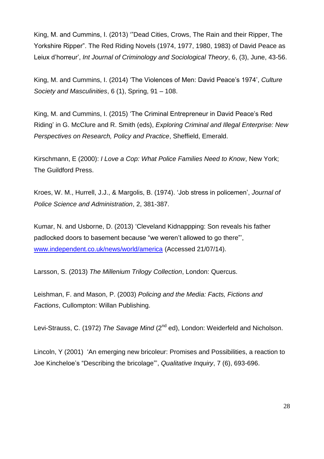King, M. and Cummins, I. (2013) '"Dead Cities, Crows, The Rain and their Ripper, The Yorkshire Ripper". The Red Riding Novels (1974, 1977, 1980, 1983) of David Peace as Leiux d'horreur', *Int Journal of Criminology and Sociological Theory*, 6, (3), June, 43-56.

King, M. and Cummins, I. (2014) 'The Violences of Men: David Peace's 1974', *Culture Society and Masculinities*, 6 (1), Spring, 91 – 108.

King, M. and Cummins, I. (2015) 'The Criminal Entrepreneur in David Peace's Red Riding' in G. McClure and R. Smith (eds), *Exploring Criminal and Illegal Enterprise: New Perspectives on Research, Policy and Practice*, Sheffield, Emerald.

Kirschmann, E (2000): *I Love a Cop: What Police Families Need to Know*, New York; The Guildford Press.

Kroes, W. M., Hurrell, J.J., & Margolis, B. (1974). 'Job stress in policemen', *Journal of Police Science and Administration*, 2, 381-387.

Kumar, N. and Usborne, D. (2013) 'Cleveland Kidnappping: Son reveals his father padlocked doors to basement because "we weren't allowed to go there"', [www.independent.co.uk/news/world/america](http://www.independent.co.uk/news/world/america) (Accessed 21/07/14).

Larsson, S. (2013) *The Millenium Trilogy Collection*, London: Quercus.

Leishman, F. and Mason, P. (2003) *Policing and the Media: Facts, Fictions and Factions*, Cullompton: Willan Publishing.

Levi-Strauss, C. (1972) *The Savage Mind* (2<sup>nd</sup> ed), London: Weiderfeld and Nicholson.

Lincoln, Y (2001) 'An emerging new bricoleur: Promises and Possibilities, a reaction to Joe Kincheloe's "Describing the bricolage"', *Qualitative Inquiry*, 7 (6), 693-696.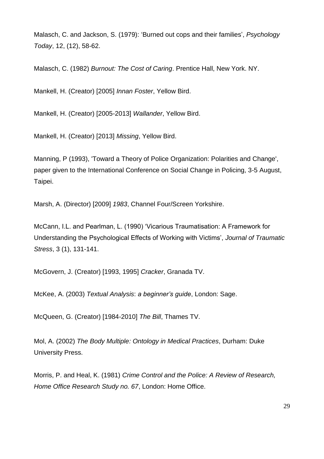Malasch, C. and Jackson, S. (1979): 'Burned out cops and their families', *Psychology Today*, 12, (12), 58-62.

Malasch, C. (1982) *Burnout: The Cost of Caring*. Prentice Hall, New York. NY.

Mankell, H. (Creator) [2005] *Innan Foster*, Yellow Bird.

Mankell, H. (Creator) [2005-2013] *Wallander*, Yellow Bird.

Mankell, H. (Creator) [2013] *Missing*, Yellow Bird.

Manning, P (1993), 'Toward a Theory of Police Organization: Polarities and Change', paper given to the International Conference on Social Change in Policing, 3-5 August, Taipei.

Marsh, A. (Director) [2009] *1983*, Channel Four/Screen Yorkshire.

McCann, I.L. and Pearlman, L. (1990) 'Vicarious Traumatisation: A Framework for Understanding the Psychological Effects of Working with Victims', *Journal of Traumatic Stress*, 3 (1), 131-141.

McGovern, J. (Creator) [1993, 1995] *Cracker*, Granada TV.

McKee, A. (2003) *Textual Analysis*: *a beginner's guide*, London: Sage.

McQueen, G. (Creator) [1984-2010] *The Bill*, Thames TV.

Mol, A. (2002) *The Body Multiple: Ontology in Medical Practices*, Durham: Duke University Press.

Morris, P. and Heal, K. (1981) *Crime Control and the Police: A Review of Research, Home Office Research Study no. 67*, London: Home Office.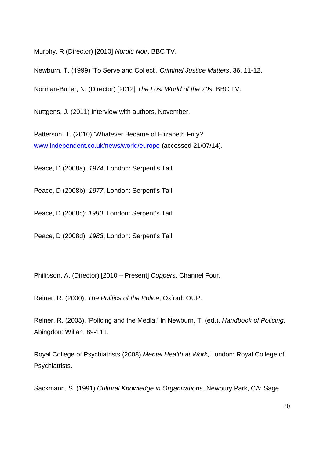Murphy, R (Director) [2010] *Nordic Noir*, BBC TV.

Newburn, T. (1999) 'To Serve and Collect', *Criminal Justice Matters*, 36, 11-12.

Norman-Butler, N. (Director) [2012] *The Lost World of the 70s*, BBC TV.

Nuttgens, J. (2011) Interview with authors, November.

Patterson, T. (2010) 'Whatever Became of Elizabeth Frity?' [www.independent.co.uk/news/world/europe](http://www.independent.co.uk/news/world/europe) (accessed 21/07/14).

Peace, D (2008a): *1974*, London: Serpent's Tail.

Peace, D (2008b): *1977*, London: Serpent's Tail.

Peace, D (2008c): *1980*, London: Serpent's Tail.

Peace, D (2008d): *1983*, London: Serpent's Tail.

Philipson, A. (Director) [2010 – Present] *Coppers*, Channel Four.

Reiner, R. (2000), *The Politics of the Police*, Oxford: OUP.

Reiner, R. (2003). 'Policing and the Media,' In Newburn, T. (ed.), *Handbook of Policing*. Abingdon: Willan, 89-111.

Royal College of Psychiatrists (2008) *Mental Health at Work*, London: Royal College of Psychiatrists.

Sackmann, S. (1991) *Cultural Knowledge in Organizations*. Newbury Park, CA: Sage.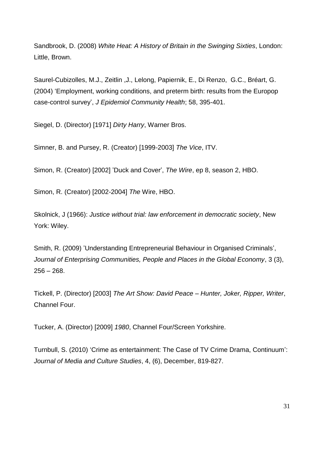Sandbrook, D. (2008) *White Heat: A History of Britain in the Swinging Sixties*, London: Little, Brown.

Saurel-Cubizolles, M.J., Zeitlin ,J., Lelong, Papiernik, E., Di Renzo, G.C., Bréart, G. (2004) 'Employment, working conditions, and preterm birth: results from the Europop case-control survey', *J Epidemiol Community Health*; 58, 395-401.

Siegel, D. (Director) [1971] *Dirty Harry*, Warner Bros.

Simner, B. and Pursey, R. (Creator) [1999-2003] *The Vice*, ITV.

Simon, R. (Creator) [2002] 'Duck and Cover', *The Wire*, ep 8, season 2, HBO.

Simon, R. (Creator) [2002-2004] *The* Wire, HBO.

Skolnick, J (1966): *Justice without trial: law enforcement in democratic society*, New York: Wiley.

Smith, R. (2009) 'Understanding Entrepreneurial Behaviour in Organised Criminals', *Journal of Enterprising Communities, People and Places in the Global Economy*, 3 (3),  $256 - 268.$ 

Tickell, P. (Director) [2003] *The Art Show: David Peace – Hunter, Joker, Ripper, Writer*, Channel Four.

Tucker, A. (Director) [2009] *1980*, Channel Four/Screen Yorkshire.

Turnbull, S. (2010) 'Crime as entertainment: The Case of TV Crime Drama, Continuum': *Journal of Media and Culture Studies*, 4, (6), December, 819-827.